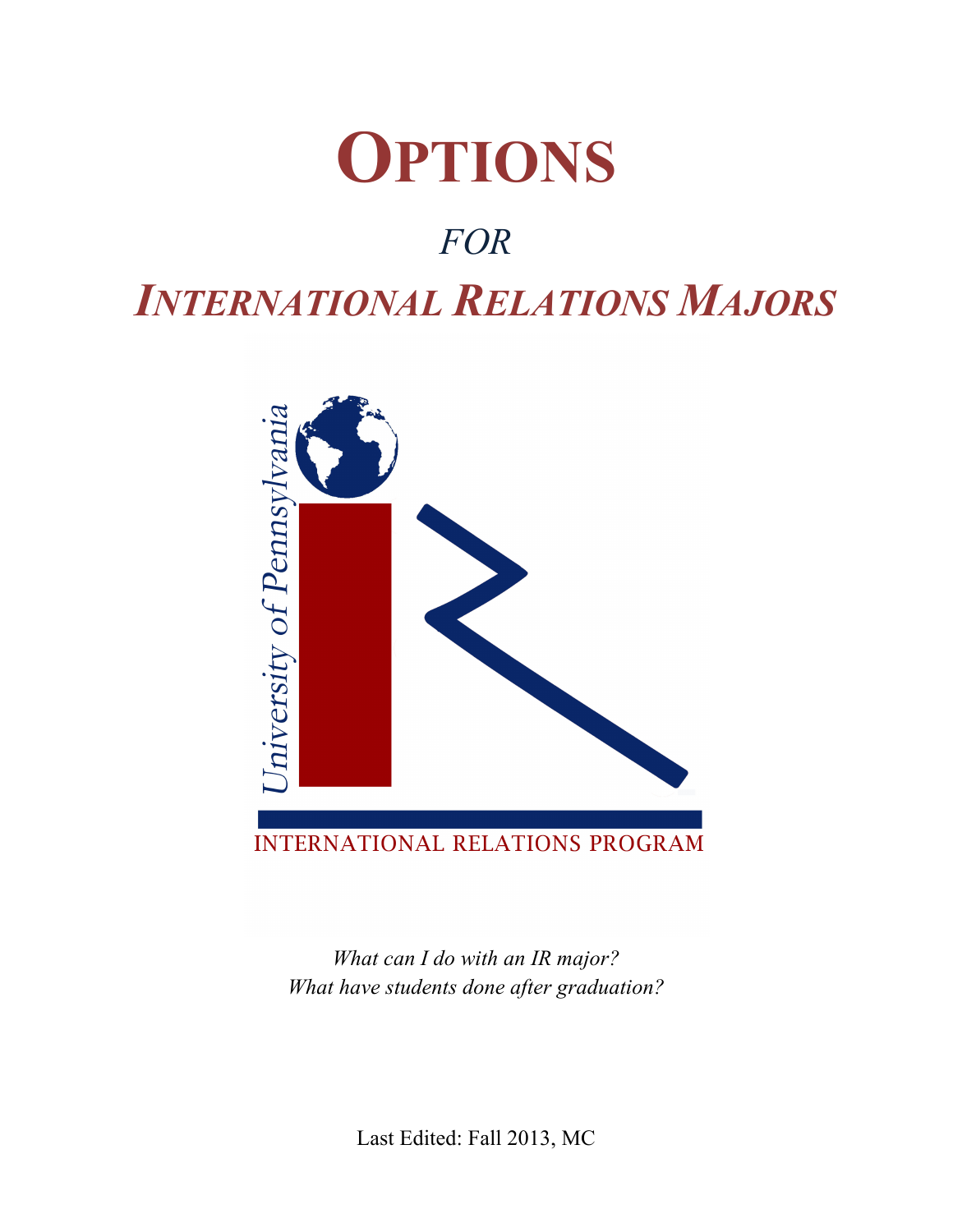

## *FOR*

## *INTERNATIONAL RELATIONS MAJORS*



*What can I do with an IR major? What have students done after graduation?*

Last Edited: Fall 2013, MC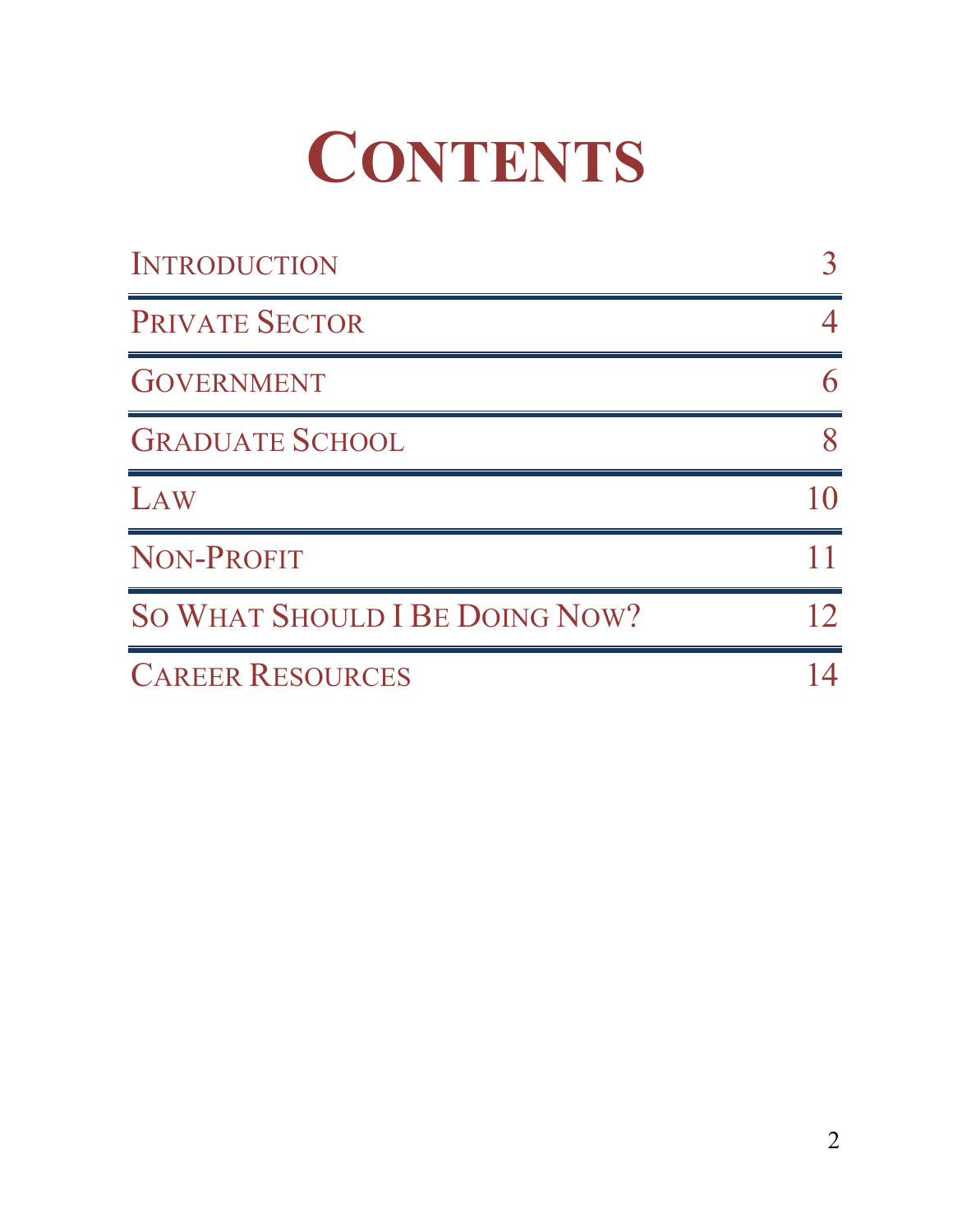# **CONTENTS**

| <b>INTRODUCTION</b>            |  |
|--------------------------------|--|
| <b>PRIVATE SECTOR</b>          |  |
| <b>GOVERNMENT</b>              |  |
| <b>GRADUATE SCHOOL</b>         |  |
| LAW                            |  |
| NON-PROFIT                     |  |
| SO WHAT SHOULD I BE DOING NOW? |  |
| <b>CAREER RESOURCES</b>        |  |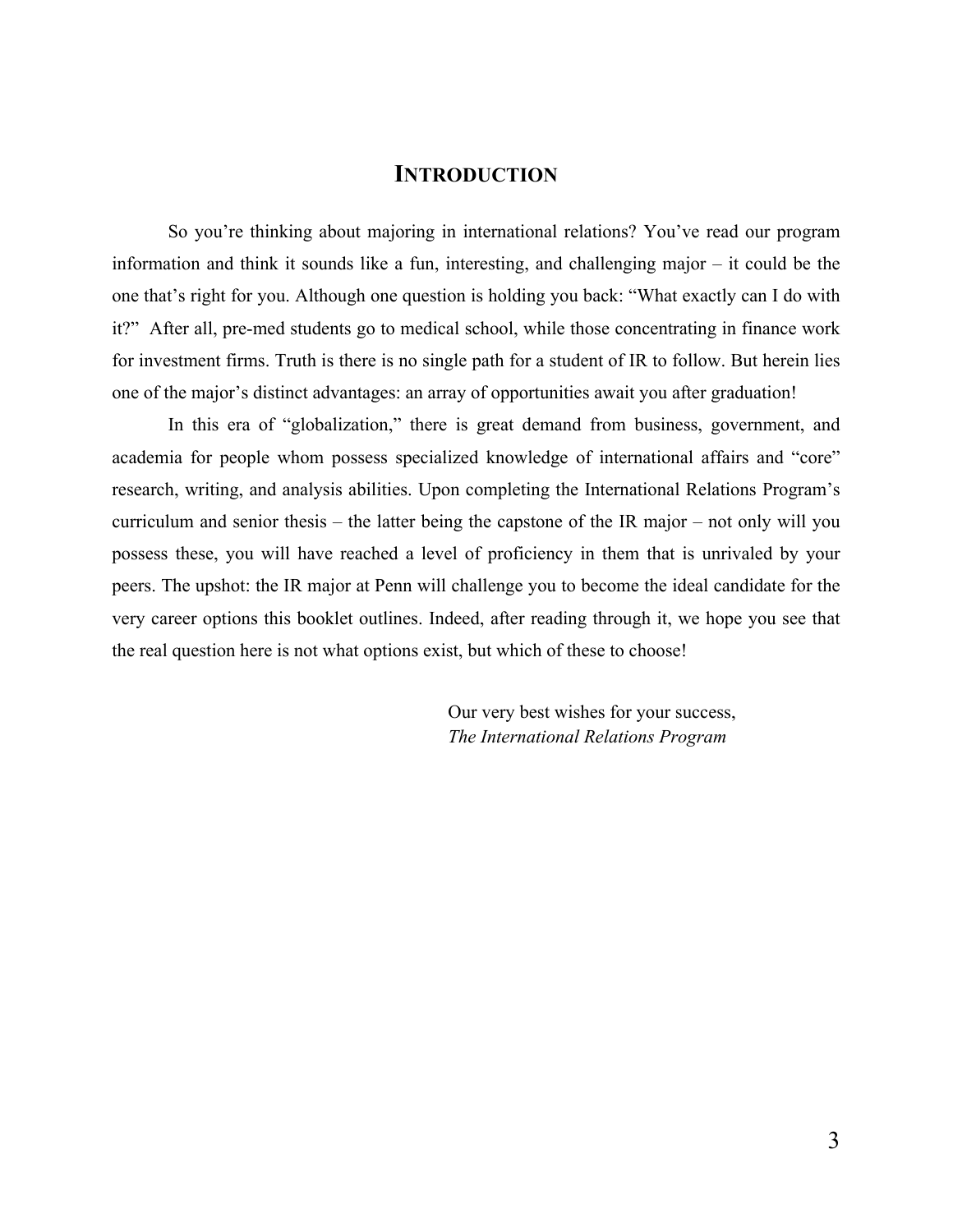#### **INTRODUCTION**

So you're thinking about majoring in international relations? You've read our program information and think it sounds like a fun, interesting, and challenging major – it could be the one that's right for you. Although one question is holding you back: "What exactly can I do with it?" After all, pre-med students go to medical school, while those concentrating in finance work for investment firms. Truth is there is no single path for a student of IR to follow. But herein lies one of the major's distinct advantages: an array of opportunities await you after graduation!

In this era of "globalization," there is great demand from business, government, and academia for people whom possess specialized knowledge of international affairs and "core" research, writing, and analysis abilities. Upon completing the International Relations Program's curriculum and senior thesis – the latter being the capstone of the IR major – not only will you possess these, you will have reached a level of proficiency in them that is unrivaled by your peers. The upshot: the IR major at Penn will challenge you to become the ideal candidate for the very career options this booklet outlines. Indeed, after reading through it, we hope you see that the real question here is not what options exist, but which of these to choose!

> Our very best wishes for your success, *The International Relations Program*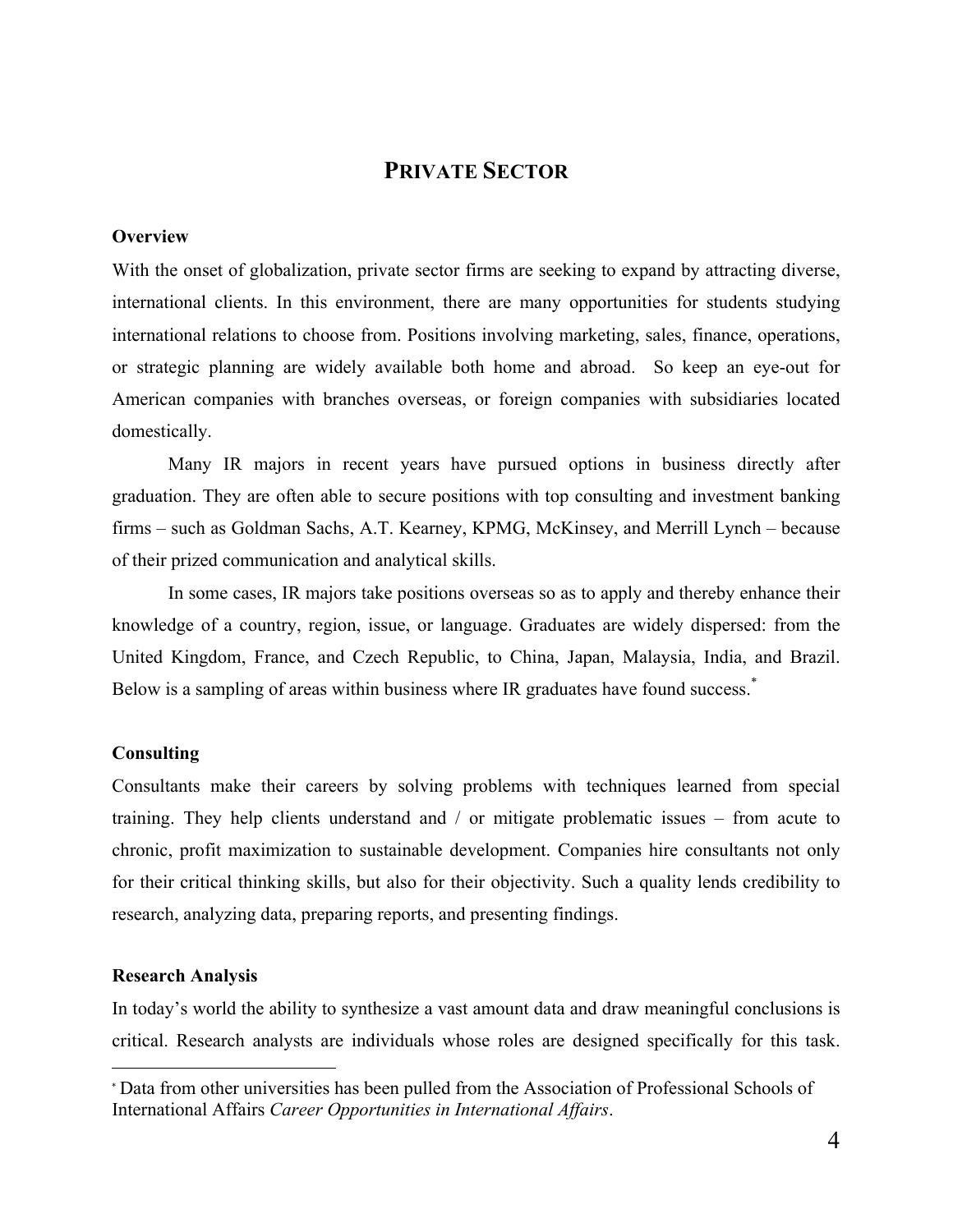#### **PRIVATE SECTOR**

#### **Overview**

With the onset of globalization, private sector firms are seeking to expand by attracting diverse, international clients. In this environment, there are many opportunities for students studying international relations to choose from. Positions involving marketing, sales, finance, operations, or strategic planning are widely available both home and abroad. So keep an eye-out for American companies with branches overseas, or foreign companies with subsidiaries located domestically.

Many IR majors in recent years have pursued options in business directly after graduation. They are often able to secure positions with top consulting and investment banking firms – such as Goldman Sachs, A.T. Kearney, KPMG, McKinsey, and Merrill Lynch – because of their prized communication and analytical skills.

In some cases, IR majors take positions overseas so as to apply and thereby enhance their knowledge of a country, region, issue, or language. Graduates are widely dispersed: from the United Kingdom, France, and Czech Republic, to China, Japan, Malaysia, India, and Brazil. Below is a sampling of areas within business where IR graduates have found success.<sup>\*</sup>

#### **Consulting**

Consultants make their careers by solving problems with techniques learned from special training. They help clients understand and / or mitigate problematic issues – from acute to chronic, profit maximization to sustainable development. Companies hire consultants not only for their critical thinking skills, but also for their objectivity. Such a quality lends credibility to research, analyzing data, preparing reports, and presenting findings.

#### **Research Analysis**

!!!!!!!!!!!!!!!!!!!!!!!!!!!!!!!!!!!!!!!!!!!!!!!!!!!!!!!

In today's world the ability to synthesize a vast amount data and draw meaningful conclusions is critical. Research analysts are individuals whose roles are designed specifically for this task.

<sup>\*</sup> Data from other universities has been pulled from the Association of Professional Schools of International Affairs *Career Opportunities in International Affairs*.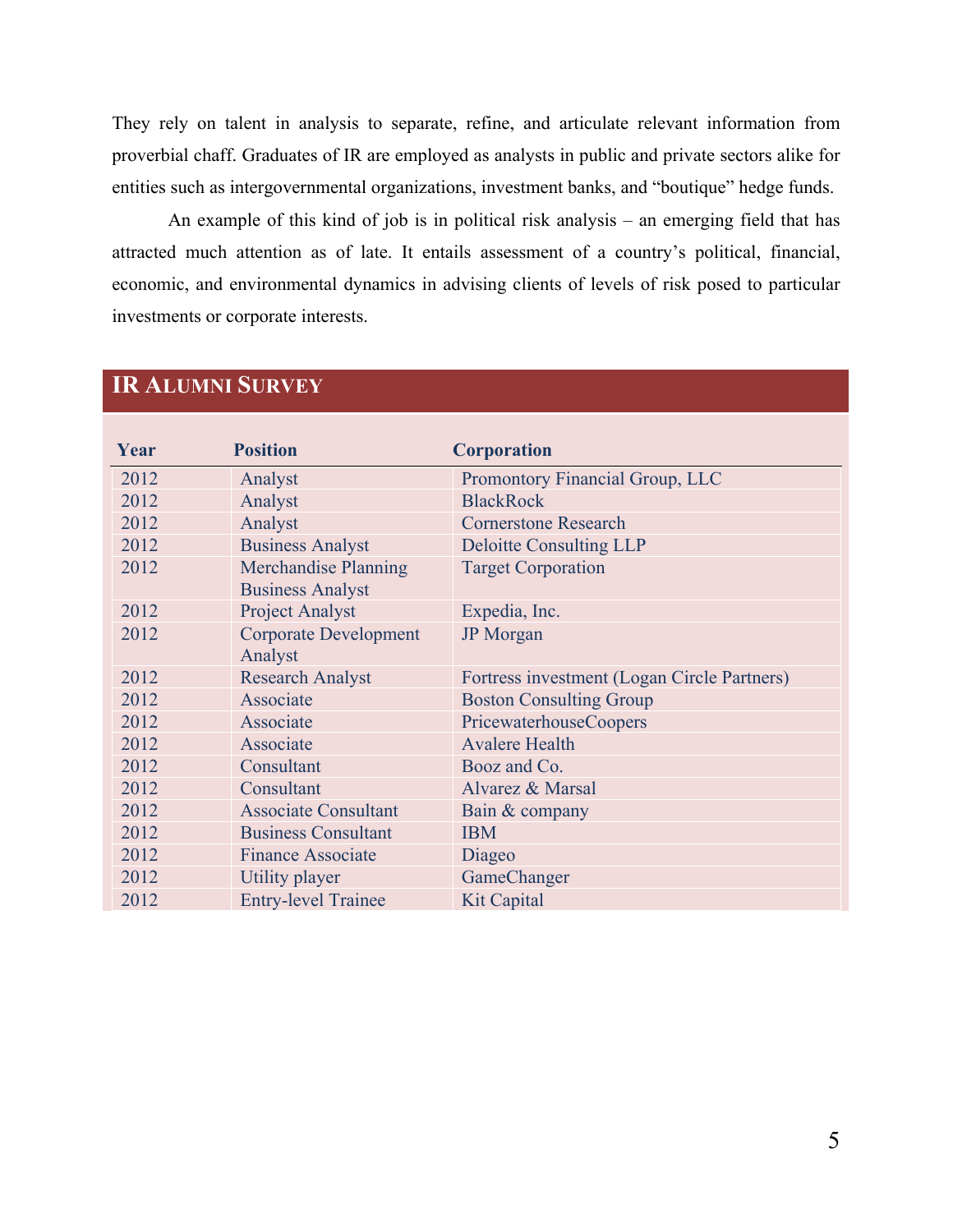They rely on talent in analysis to separate, refine, and articulate relevant information from proverbial chaff. Graduates of IR are employed as analysts in public and private sectors alike for entities such as intergovernmental organizations, investment banks, and "boutique" hedge funds.

An example of this kind of job is in political risk analysis – an emerging field that has attracted much attention as of late. It entails assessment of a country's political, financial, economic, and environmental dynamics in advising clients of levels of risk posed to particular investments or corporate interests.

| Year | <b>Position</b>                                        | <b>Corporation</b>                          |
|------|--------------------------------------------------------|---------------------------------------------|
| 2012 | Analyst                                                | Promontory Financial Group, LLC             |
| 2012 | Analyst                                                | <b>BlackRock</b>                            |
| 2012 | Analyst                                                | <b>Cornerstone Research</b>                 |
| 2012 | <b>Business Analyst</b>                                | <b>Deloitte Consulting LLP</b>              |
| 2012 | <b>Merchandise Planning</b><br><b>Business Analyst</b> | <b>Target Corporation</b>                   |
| 2012 | <b>Project Analyst</b>                                 | Expedia, Inc.                               |
| 2012 | <b>Corporate Development</b><br>Analyst                | <b>JP</b> Morgan                            |
| 2012 | <b>Research Analyst</b>                                | Fortress investment (Logan Circle Partners) |
| 2012 | Associate                                              | <b>Boston Consulting Group</b>              |
| 2012 | Associate                                              | <b>PricewaterhouseCoopers</b>               |
| 2012 | Associate                                              | <b>Avalere Health</b>                       |
| 2012 | Consultant                                             | Booz and Co.                                |
| 2012 | Consultant                                             | Alvarez & Marsal                            |
| 2012 | <b>Associate Consultant</b>                            | Bain & company                              |
| 2012 | <b>Business Consultant</b>                             | <b>IBM</b>                                  |
| 2012 | <b>Finance Associate</b>                               | Diageo                                      |
| 2012 | Utility player                                         | GameChanger                                 |
| 2012 | <b>Entry-level Trainee</b>                             | <b>Kit Capital</b>                          |

### **IR ALUMNI SURVEY**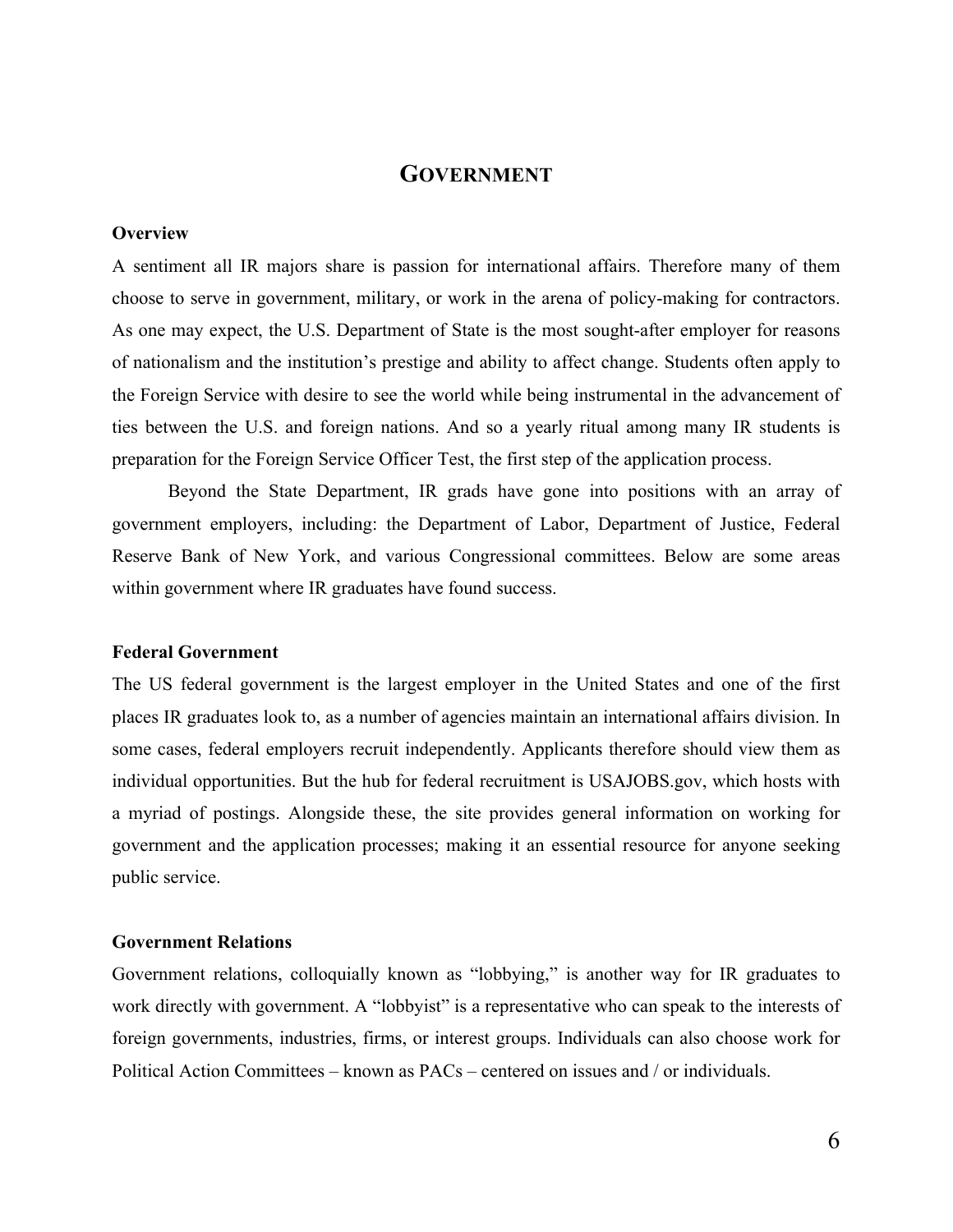#### **GOVERNMENT**

#### **Overview**

A sentiment all IR majors share is passion for international affairs. Therefore many of them choose to serve in government, military, or work in the arena of policy-making for contractors. As one may expect, the U.S. Department of State is the most sought-after employer for reasons of nationalism and the institution's prestige and ability to affect change. Students often apply to the Foreign Service with desire to see the world while being instrumental in the advancement of ties between the U.S. and foreign nations. And so a yearly ritual among many IR students is preparation for the Foreign Service Officer Test, the first step of the application process.

Beyond the State Department, IR grads have gone into positions with an array of government employers, including: the Department of Labor, Department of Justice, Federal Reserve Bank of New York, and various Congressional committees. Below are some areas within government where IR graduates have found success.

#### **Federal Government**

The US federal government is the largest employer in the United States and one of the first places IR graduates look to, as a number of agencies maintain an international affairs division. In some cases, federal employers recruit independently. Applicants therefore should view them as individual opportunities. But the hub for federal recruitment is USAJOBS.gov, which hosts with a myriad of postings. Alongside these, the site provides general information on working for government and the application processes; making it an essential resource for anyone seeking public service.

#### **Government Relations**

Government relations, colloquially known as "lobbying," is another way for IR graduates to work directly with government. A "lobbyist" is a representative who can speak to the interests of foreign governments, industries, firms, or interest groups. Individuals can also choose work for Political Action Committees – known as PACs – centered on issues and / or individuals.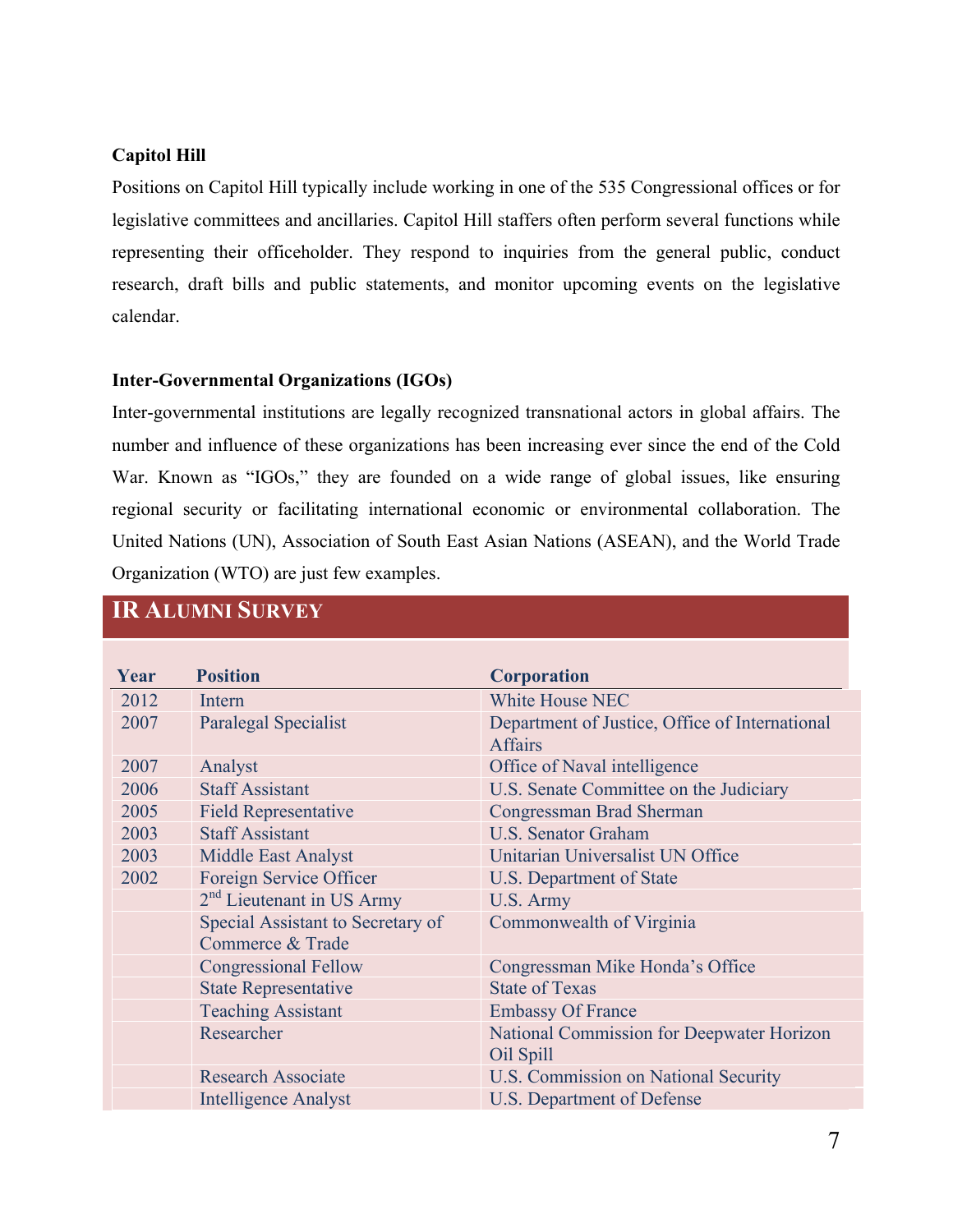#### **Capitol Hill**

Positions on Capitol Hill typically include working in one of the 535 Congressional offices or for legislative committees and ancillaries. Capitol Hill staffers often perform several functions while representing their officeholder. They respond to inquiries from the general public, conduct research, draft bills and public statements, and monitor upcoming events on the legislative calendar.

#### **Inter-Governmental Organizations (IGOs)**

Inter-governmental institutions are legally recognized transnational actors in global affairs. The number and influence of these organizations has been increasing ever since the end of the Cold War. Known as "IGOs," they are founded on a wide range of global issues, like ensuring regional security or facilitating international economic or environmental collaboration. The United Nations (UN), Association of South East Asian Nations (ASEAN), and the World Trade Organization (WTO) are just few examples.

| Year | <b>Position</b>                                       | <b>Corporation</b>                                               |
|------|-------------------------------------------------------|------------------------------------------------------------------|
| 2012 | Intern                                                | <b>White House NEC</b>                                           |
| 2007 | <b>Paralegal Specialist</b>                           | Department of Justice, Office of International<br><b>Affairs</b> |
| 2007 | Analyst                                               | Office of Naval intelligence                                     |
| 2006 | <b>Staff Assistant</b>                                | U.S. Senate Committee on the Judiciary                           |
| 2005 | <b>Field Representative</b>                           | Congressman Brad Sherman                                         |
| 2003 | <b>Staff Assistant</b>                                | <b>U.S. Senator Graham</b>                                       |
| 2003 | <b>Middle East Analyst</b>                            | Unitarian Universalist UN Office                                 |
| 2002 | Foreign Service Officer                               | U.S. Department of State                                         |
|      | $2nd$ Lieutenant in US Army                           | U.S. Army                                                        |
|      | Special Assistant to Secretary of<br>Commerce & Trade | Commonwealth of Virginia                                         |
|      | <b>Congressional Fellow</b>                           | Congressman Mike Honda's Office                                  |
|      | <b>State Representative</b>                           | <b>State of Texas</b>                                            |
|      | <b>Teaching Assistant</b>                             | <b>Embassy Of France</b>                                         |
|      | Researcher                                            | National Commission for Deepwater Horizon<br>Oil Spill           |
|      | <b>Research Associate</b>                             | <b>U.S. Commission on National Security</b>                      |
|      | <b>Intelligence Analyst</b>                           | U.S. Department of Defense                                       |

### **IR ALUMNI SURVEY**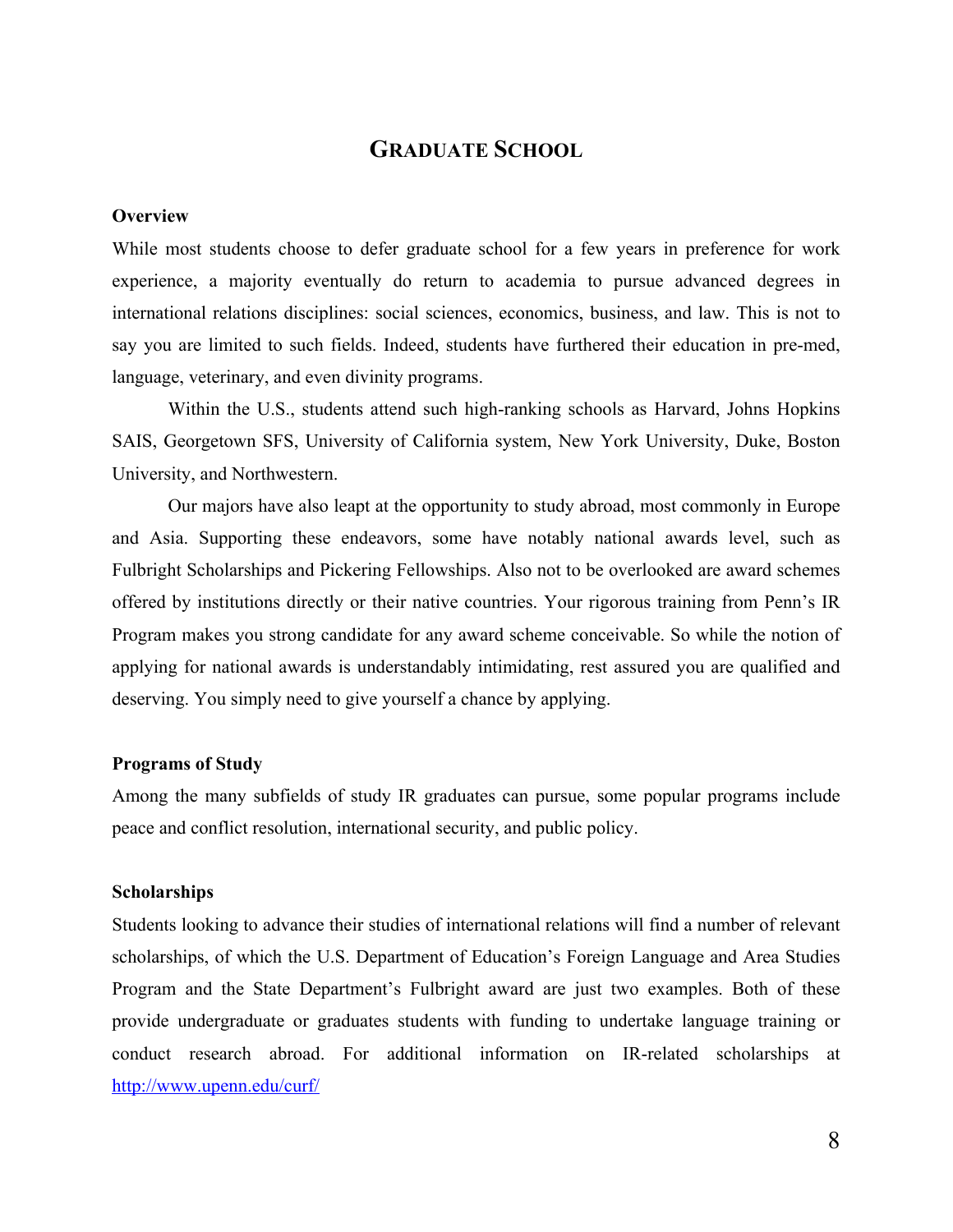#### **GRADUATE SCHOOL**

#### **Overview**

While most students choose to defer graduate school for a few years in preference for work experience, a majority eventually do return to academia to pursue advanced degrees in international relations disciplines: social sciences, economics, business, and law. This is not to say you are limited to such fields. Indeed, students have furthered their education in pre-med, language, veterinary, and even divinity programs.

Within the U.S., students attend such high-ranking schools as Harvard, Johns Hopkins SAIS, Georgetown SFS, University of California system, New York University, Duke, Boston University, and Northwestern.

Our majors have also leapt at the opportunity to study abroad, most commonly in Europe and Asia. Supporting these endeavors, some have notably national awards level, such as Fulbright Scholarships and Pickering Fellowships. Also not to be overlooked are award schemes offered by institutions directly or their native countries. Your rigorous training from Penn's IR Program makes you strong candidate for any award scheme conceivable. So while the notion of applying for national awards is understandably intimidating, rest assured you are qualified and deserving. You simply need to give yourself a chance by applying.

#### **Programs of Study**

Among the many subfields of study IR graduates can pursue, some popular programs include peace and conflict resolution, international security, and public policy.

#### **Scholarships**

Students looking to advance their studies of international relations will find a number of relevant scholarships, of which the U.S. Department of Education's Foreign Language and Area Studies Program and the State Department's Fulbright award are just two examples. Both of these provide undergraduate or graduates students with funding to undertake language training or conduct research abroad. For additional information on IR-related scholarships at http://www.upenn.edu/curf/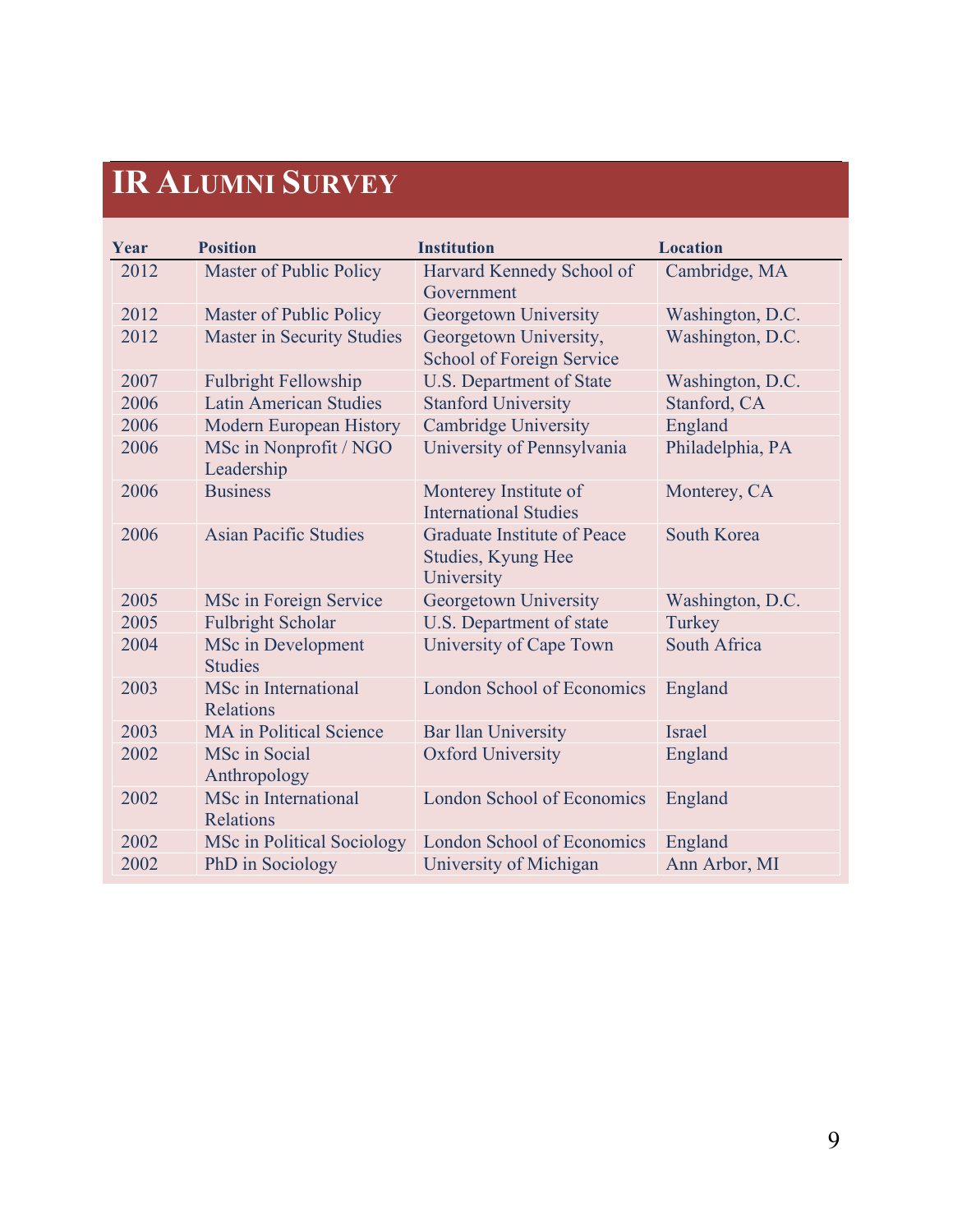## **IR ALUMNI SURVEY**

| Year | <b>Position</b>                             | <b>Institution</b>                                                     | <b>Location</b>     |
|------|---------------------------------------------|------------------------------------------------------------------------|---------------------|
| 2012 | Master of Public Policy                     | Harvard Kennedy School of<br>Government                                | Cambridge, MA       |
| 2012 | <b>Master of Public Policy</b>              | Georgetown University                                                  | Washington, D.C.    |
| 2012 | <b>Master in Security Studies</b>           | Georgetown University,<br><b>School of Foreign Service</b>             | Washington, D.C.    |
| 2007 | <b>Fulbright Fellowship</b>                 | <b>U.S. Department of State</b>                                        | Washington, D.C.    |
| 2006 | <b>Latin American Studies</b>               | <b>Stanford University</b>                                             | Stanford, CA        |
| 2006 | <b>Modern European History</b>              | <b>Cambridge University</b>                                            | England             |
| 2006 | MSc in Nonprofit / NGO<br>Leadership        | University of Pennsylvania                                             | Philadelphia, PA    |
| 2006 | <b>Business</b>                             | Monterey Institute of<br><b>International Studies</b>                  | Monterey, CA        |
| 2006 | <b>Asian Pacific Studies</b>                | <b>Graduate Institute of Peace</b><br>Studies, Kyung Hee<br>University | <b>South Korea</b>  |
| 2005 | MSc in Foreign Service                      | Georgetown University                                                  | Washington, D.C.    |
| 2005 | <b>Fulbright Scholar</b>                    | U.S. Department of state                                               | Turkey              |
| 2004 | <b>MSc in Development</b><br><b>Studies</b> | University of Cape Town                                                | <b>South Africa</b> |
| 2003 | MSc in International<br><b>Relations</b>    | <b>London School of Economics</b>                                      | England             |
| 2003 | <b>MA</b> in Political Science              | <b>Bar llan University</b>                                             | Israel              |
| 2002 | <b>MSc</b> in Social<br>Anthropology        | <b>Oxford University</b>                                               | England             |
| 2002 | <b>MSc</b> in International<br>Relations    | <b>London School of Economics</b>                                      | England             |
| 2002 | MSc in Political Sociology                  | <b>London School of Economics</b>                                      | England             |
| 2002 | PhD in Sociology                            | University of Michigan                                                 | Ann Arbor, MI       |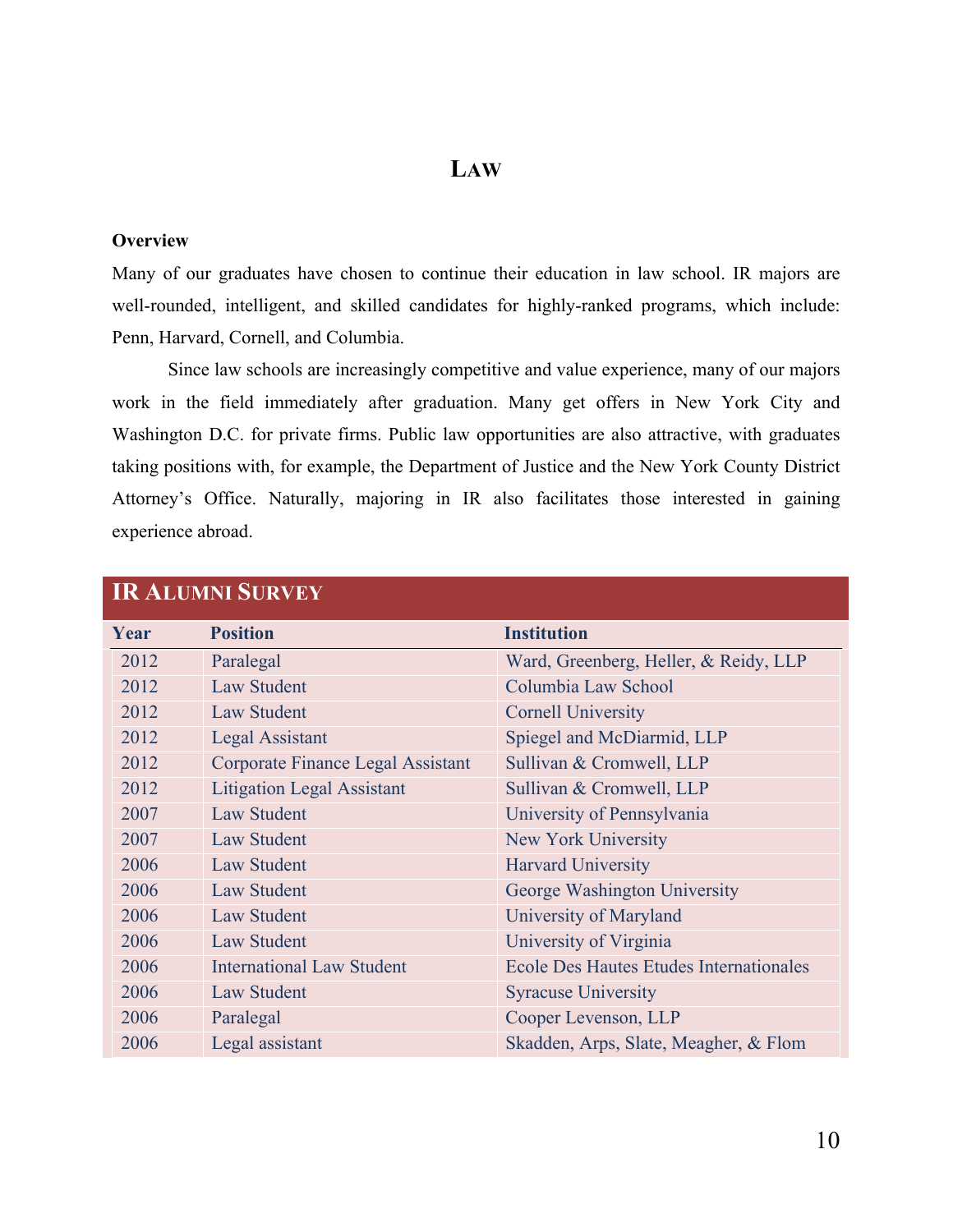#### **LAW**

#### **Overview**

Many of our graduates have chosen to continue their education in law school. IR majors are well-rounded, intelligent, and skilled candidates for highly-ranked programs, which include: Penn, Harvard, Cornell, and Columbia.

Since law schools are increasingly competitive and value experience, many of our majors work in the field immediately after graduation. Many get offers in New York City and Washington D.C. for private firms. Public law opportunities are also attractive, with graduates taking positions with, for example, the Department of Justice and the New York County District Attorney's Office. Naturally, majoring in IR also facilitates those interested in gaining experience abroad.

| IIN AUJUMINI DUNYEI |                                   |                                                |  |
|---------------------|-----------------------------------|------------------------------------------------|--|
| Year                | <b>Position</b>                   | <b>Institution</b>                             |  |
| 2012                | Paralegal                         | Ward, Greenberg, Heller, & Reidy, LLP          |  |
| 2012                | <b>Law Student</b>                | Columbia Law School                            |  |
| 2012                | <b>Law Student</b>                | <b>Cornell University</b>                      |  |
| 2012                | <b>Legal Assistant</b>            | Spiegel and McDiarmid, LLP                     |  |
| 2012                | Corporate Finance Legal Assistant | Sullivan & Cromwell, LLP                       |  |
| 2012                | <b>Litigation Legal Assistant</b> | Sullivan & Cromwell, LLP                       |  |
| 2007                | <b>Law Student</b>                | University of Pennsylvania                     |  |
| 2007                | <b>Law Student</b>                | New York University                            |  |
| 2006                | <b>Law Student</b>                | <b>Harvard University</b>                      |  |
| 2006                | <b>Law Student</b>                | George Washington University                   |  |
| 2006                | <b>Law Student</b>                | University of Maryland                         |  |
| 2006                | <b>Law Student</b>                | University of Virginia                         |  |
| 2006                | <b>International Law Student</b>  | <b>Ecole Des Hautes Etudes Internationales</b> |  |
| 2006                | <b>Law Student</b>                | <b>Syracuse University</b>                     |  |
| 2006                | Paralegal                         | Cooper Levenson, LLP                           |  |
| 2006                | Legal assistant                   | Skadden, Arps, Slate, Meagher, & Flom          |  |

#### **ID ALUMNI SURVEY**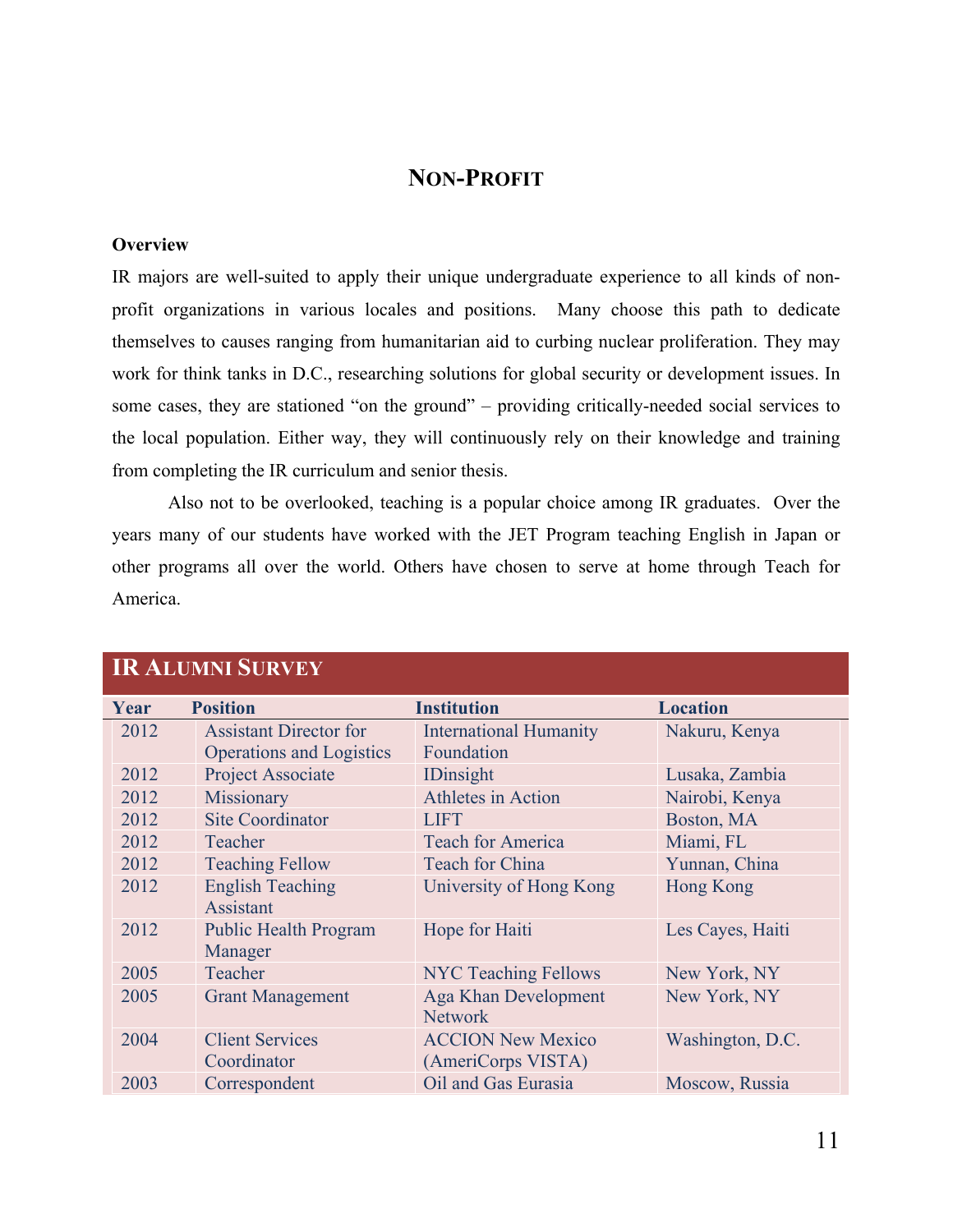#### **NON-PROFIT**

#### **Overview**

IR majors are well-suited to apply their unique undergraduate experience to all kinds of nonprofit organizations in various locales and positions. Many choose this path to dedicate themselves to causes ranging from humanitarian aid to curbing nuclear proliferation. They may work for think tanks in D.C., researching solutions for global security or development issues. In some cases, they are stationed "on the ground" – providing critically-needed social services to the local population. Either way, they will continuously rely on their knowledge and training from completing the IR curriculum and senior thesis.

Also not to be overlooked, teaching is a popular choice among IR graduates. Over the years many of our students have worked with the JET Program teaching English in Japan or other programs all over the world. Others have chosen to serve at home through Teach for America.

| <b>IR ALUMNI SURVEY</b> |                                 |                               |                  |
|-------------------------|---------------------------------|-------------------------------|------------------|
| Year                    | <b>Position</b>                 | <b>Institution</b>            | <b>Location</b>  |
| 2012                    | <b>Assistant Director for</b>   | <b>International Humanity</b> | Nakuru, Kenya    |
|                         | <b>Operations and Logistics</b> | Foundation                    |                  |
| 2012                    | Project Associate               | <b>IDinsight</b>              | Lusaka, Zambia   |
| 2012                    | Missionary                      | Athletes in Action            | Nairobi, Kenya   |
| 2012                    | <b>Site Coordinator</b>         | <b>LIFT</b>                   | Boston, MA       |
| 2012                    | Teacher                         | <b>Teach for America</b>      | Miami, FL        |
| 2012                    | <b>Teaching Fellow</b>          | <b>Teach for China</b>        | Yunnan, China    |
| 2012                    | <b>English Teaching</b>         | University of Hong Kong       | <b>Hong Kong</b> |
|                         | <b>Assistant</b>                |                               |                  |
| 2012                    | <b>Public Health Program</b>    | Hope for Haiti                | Les Cayes, Haiti |
|                         | Manager                         |                               |                  |
| 2005                    | Teacher                         | <b>NYC Teaching Fellows</b>   | New York, NY     |
| 2005                    | <b>Grant Management</b>         | Aga Khan Development          | New York, NY     |
|                         |                                 | <b>Network</b>                |                  |
| 2004                    | <b>Client Services</b>          | <b>ACCION New Mexico</b>      | Washington, D.C. |
|                         | Coordinator                     | (AmeriCorps VISTA)            |                  |
| 2003                    | Correspondent                   | Oil and Gas Eurasia           | Moscow, Russia   |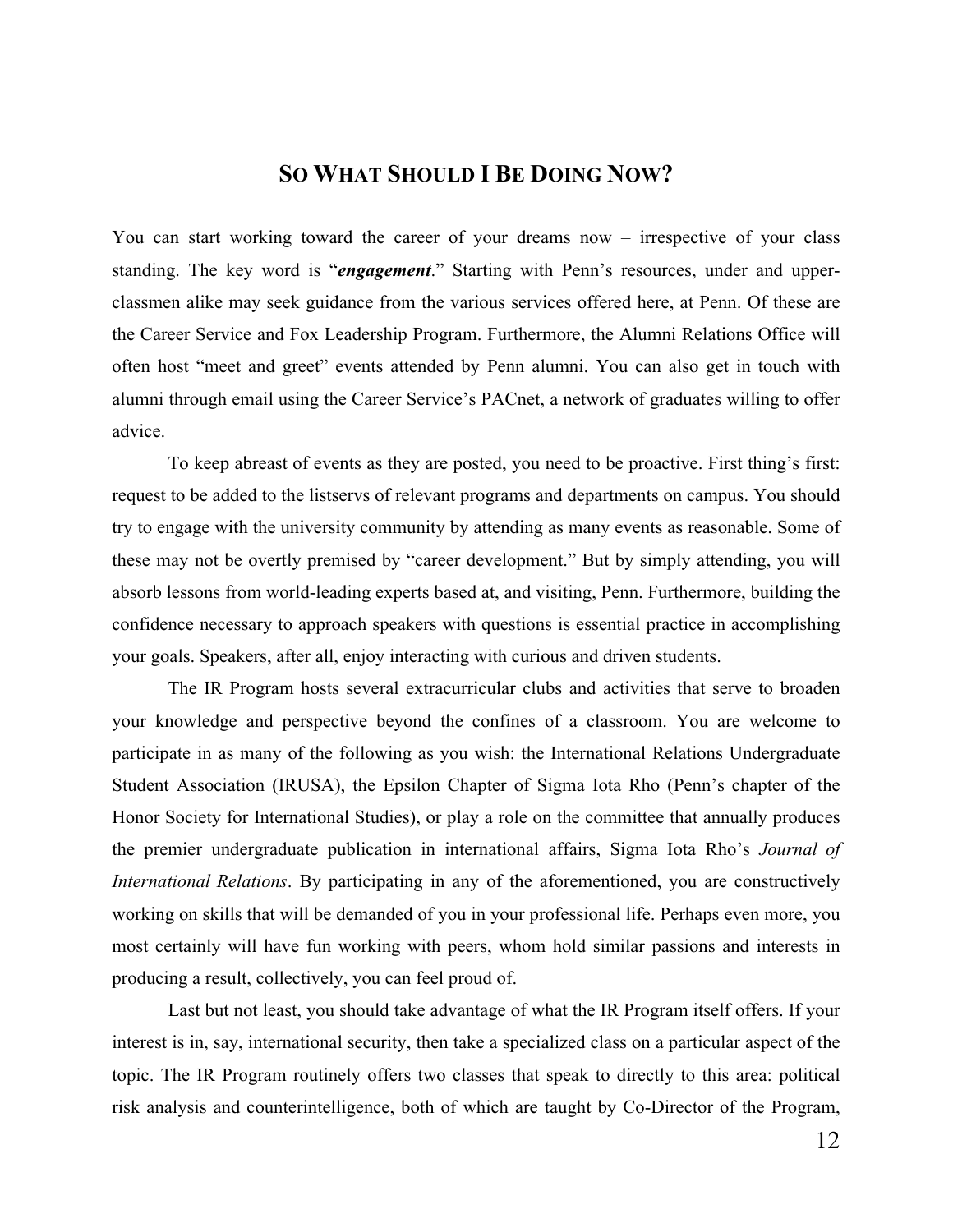#### **SO WHAT SHOULD I BE DOING NOW?**

You can start working toward the career of your dreams now – irrespective of your class standing. The key word is "*engagement*." Starting with Penn's resources, under and upperclassmen alike may seek guidance from the various services offered here, at Penn. Of these are the Career Service and Fox Leadership Program. Furthermore, the Alumni Relations Office will often host "meet and greet" events attended by Penn alumni. You can also get in touch with alumni through email using the Career Service's PACnet, a network of graduates willing to offer advice.

To keep abreast of events as they are posted, you need to be proactive. First thing's first: request to be added to the listservs of relevant programs and departments on campus. You should try to engage with the university community by attending as many events as reasonable. Some of these may not be overtly premised by "career development." But by simply attending, you will absorb lessons from world-leading experts based at, and visiting, Penn. Furthermore, building the confidence necessary to approach speakers with questions is essential practice in accomplishing your goals. Speakers, after all, enjoy interacting with curious and driven students.

The IR Program hosts several extracurricular clubs and activities that serve to broaden your knowledge and perspective beyond the confines of a classroom. You are welcome to participate in as many of the following as you wish: the International Relations Undergraduate Student Association (IRUSA), the Epsilon Chapter of Sigma Iota Rho (Penn's chapter of the Honor Society for International Studies), or play a role on the committee that annually produces the premier undergraduate publication in international affairs, Sigma Iota Rho's *Journal of International Relations*. By participating in any of the aforementioned, you are constructively working on skills that will be demanded of you in your professional life. Perhaps even more, you most certainly will have fun working with peers, whom hold similar passions and interests in producing a result, collectively, you can feel proud of.

Last but not least, you should take advantage of what the IR Program itself offers. If your interest is in, say, international security, then take a specialized class on a particular aspect of the topic. The IR Program routinely offers two classes that speak to directly to this area: political risk analysis and counterintelligence, both of which are taught by Co-Director of the Program,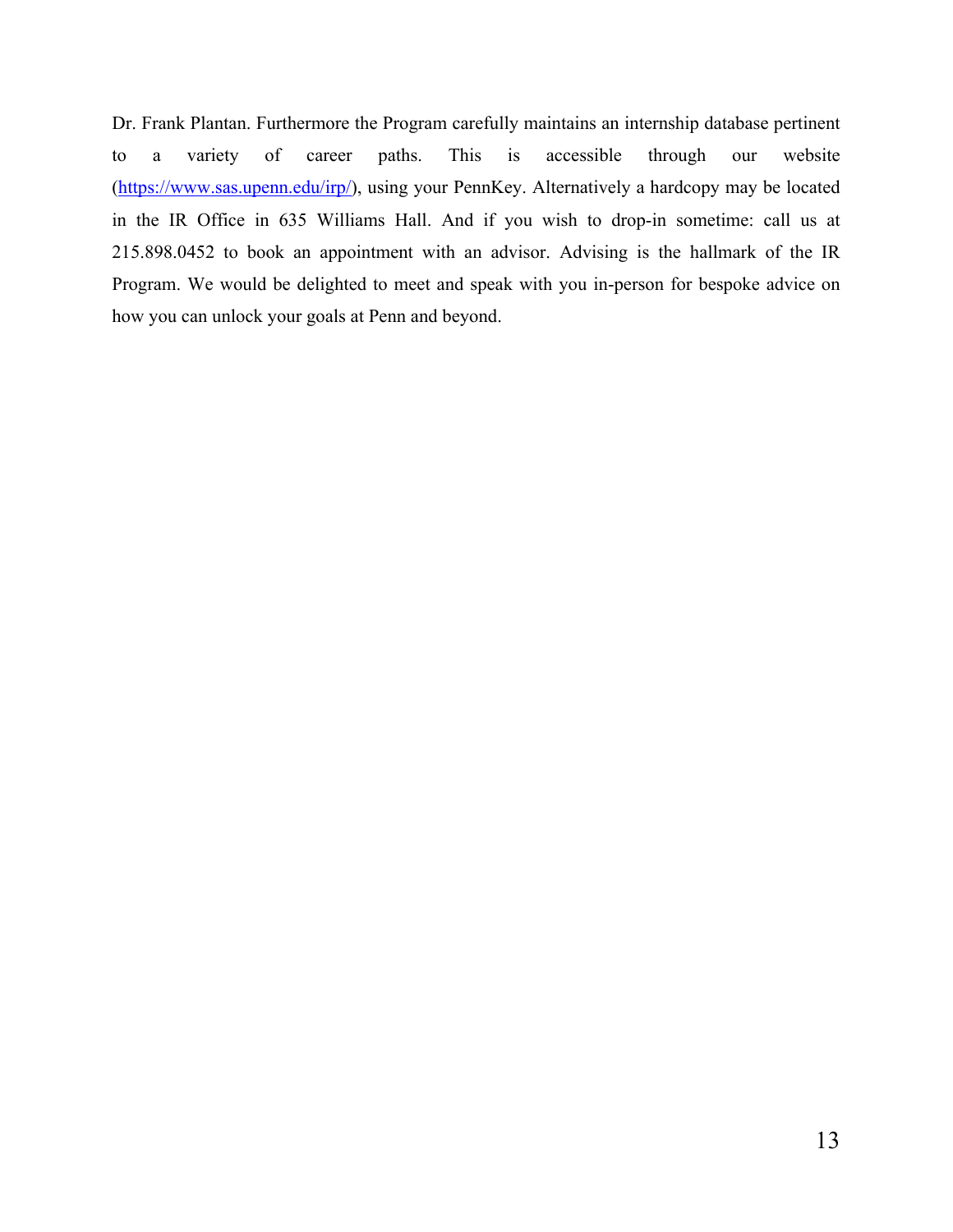Dr. Frank Plantan. Furthermore the Program carefully maintains an internship database pertinent to a variety of career paths. This is accessible through our website (https://www.sas.upenn.edu/irp/), using your PennKey. Alternatively a hardcopy may be located in the IR Office in 635 Williams Hall. And if you wish to drop-in sometime: call us at 215.898.0452 to book an appointment with an advisor. Advising is the hallmark of the IR Program. We would be delighted to meet and speak with you in-person for bespoke advice on how you can unlock your goals at Penn and beyond.